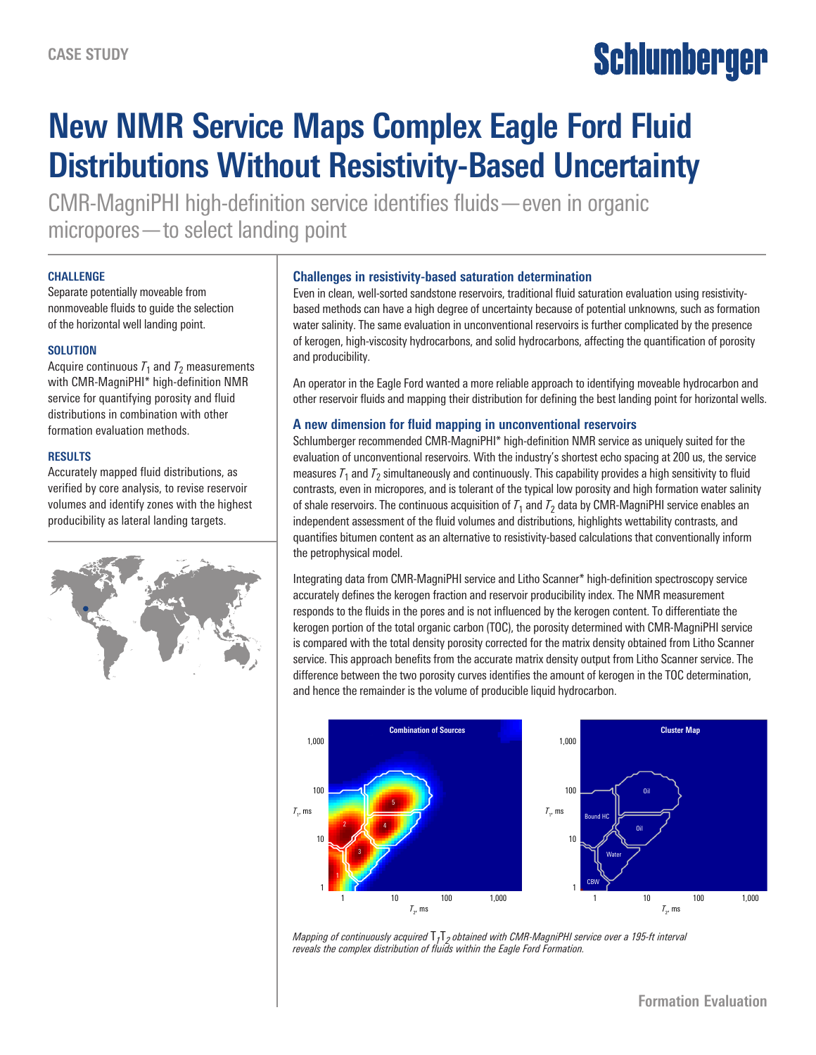# **Schlumberger**

# **New NMR Service Maps Complex Eagle Ford Fluid Distributions Without Resistivity-Based Uncertainty**

CMR-MagniPHI high-definition service identifies fluids—even in organic micropores—to select landing point

#### **CHALLENGE**

Separate potentially moveable from nonmoveable fluids to guide the selection of the horizontal well landing point.

#### **SOLUTION**

Acquire continuous  $T_1$  and  $T_2$  measurements with CMR-MagniPHI\* high-definition NMR service for quantifying porosity and fluid distributions in combination with other formation evaluation methods.

#### **RESULTS**

Accurately mapped fluid distributions, as verified by core analysis, to revise reservoir volumes and identify zones with the highest producibility as lateral landing targets.



# **Challenges in resistivity-based saturation determination**

Even in clean, well-sorted sandstone reservoirs, traditional fluid saturation evaluation using resistivitybased methods can have a high degree of uncertainty because of potential unknowns, such as formation water salinity. The same evaluation in unconventional reservoirs is further complicated by the presence of kerogen, high-viscosity hydrocarbons, and solid hydrocarbons, affecting the quantification of porosity and producibility.

An operator in the Eagle Ford wanted a more reliable approach to identifying moveable hydrocarbon and other reservoir fluids and mapping their distribution for defining the best landing point for horizontal wells.

# **A new dimension for fluid mapping in unconventional reservoirs**

Schlumberger recommended CMR-MagniPHI\* high-definition NMR service as uniquely suited for the evaluation of unconventional reservoirs. With the industry's shortest echo spacing at 200 us, the service measures  $T_1$  and  $T_2$  simultaneously and continuously. This capability provides a high sensitivity to fluid contrasts, even in micropores, and is tolerant of the typical low porosity and high formation water salinity of shale reservoirs. The continuous acquisition of  $T_1$  and  $T_2$  data by CMR-MagniPHI service enables an independent assessment of the fluid volumes and distributions, highlights wettability contrasts, and quantifies bitumen content as an alternative to resistivity-based calculations that conventionally inform the petrophysical model.

Integrating data from CMR-MagniPHI service and Litho Scanner\* high-definition spectroscopy service accurately defines the kerogen fraction and reservoir producibility index. The NMR measurement responds to the fluids in the pores and is not influenced by the kerogen content. To differentiate the kerogen portion of the total organic carbon (TOC), the porosity determined with CMR-MagniPHI service is compared with the total density porosity corrected for the matrix density obtained from Litho Scanner service. This approach benefits from the accurate matrix density output from Litho Scanner service. The difference between the two porosity curves identifies the amount of kerogen in the TOC determination, and hence the remainder is the volume of producible liquid hydrocarbon.



*Mapping of continuously acquired* T*1*T*2 obtained with CMR-MagniPHI service over a 195-ft interval reveals the complex distribution of fluids within the Eagle Ford Formation.*